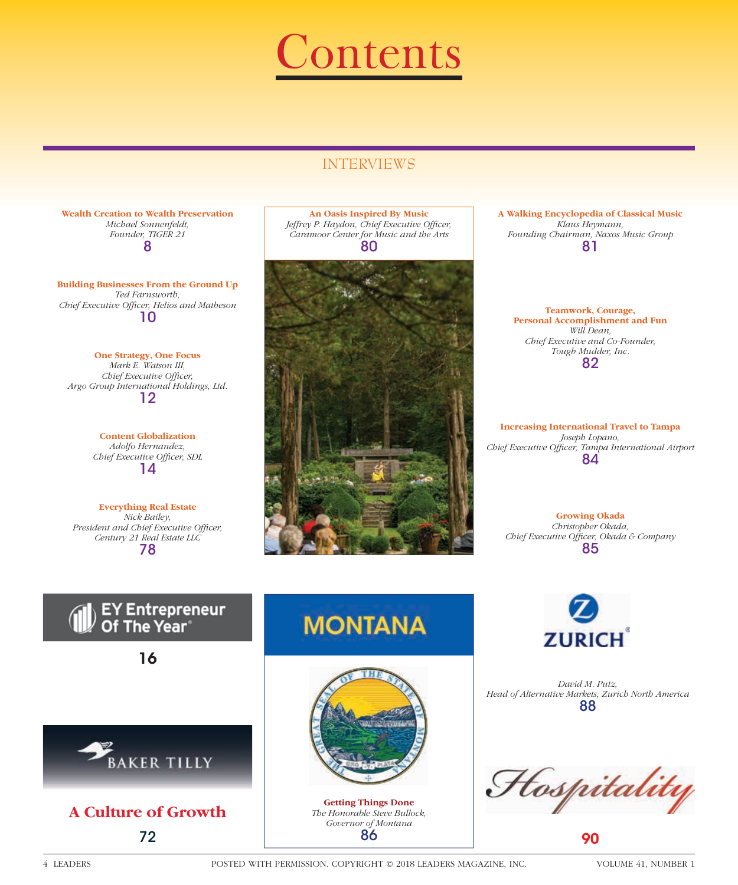

# INTERVIEWS

**Wealth Creation to Wealth Preservation** *Michael Sonnenfeldt, Founder, TIGER 21*  8

**Building Businesses From the Ground Up** *Ted Farnsworth, Chief Executive Offi cer, Helios and Matheson* 10

**One Strategy, One Focus** *Mark E. Watson III,*  Chief Executive Officer, *Argo Group International Holdings, Ltd.* 12

> **Content Globalization** *Adolfo Hernandez, Chief Executive Officer, SDL* 14

**Everything Real Estate** *Nick Bailey,*  **President and Chief Executive Officer,** *Century 21 Real Estate LLC* 78

**An Oasis Inspired By Music** *Jeffrey P. Haydon, Chief Executive Officer, Caramoor Center for Music and the Arts* 80



**A Walking Encyclopedia of Classical Music** *Klaus Heymann, Founding Chairman, Naxos Music Group* 81

**Teamwork, Courage, Personal Accomplishment and Fun** *Will Dean, Chief Executive and Co-Founder, Tough Mudder, Inc.* 82

**Increasing International Travel to Tampa** *Joseph Lopano, Chief Executive Offi cer, Tampa International Airport* 84

> **Growing Okada** *Christopher Okada,*

*Chief Executive Officer, Okada & Company* 85



16







**MONTANA** 



**Getting Things Done** *The Honorable Steve Bullock, Governor of Montana* 86



*David M. Putz, Head of Alternative Markets, Zurich North America* 88

Hospitality